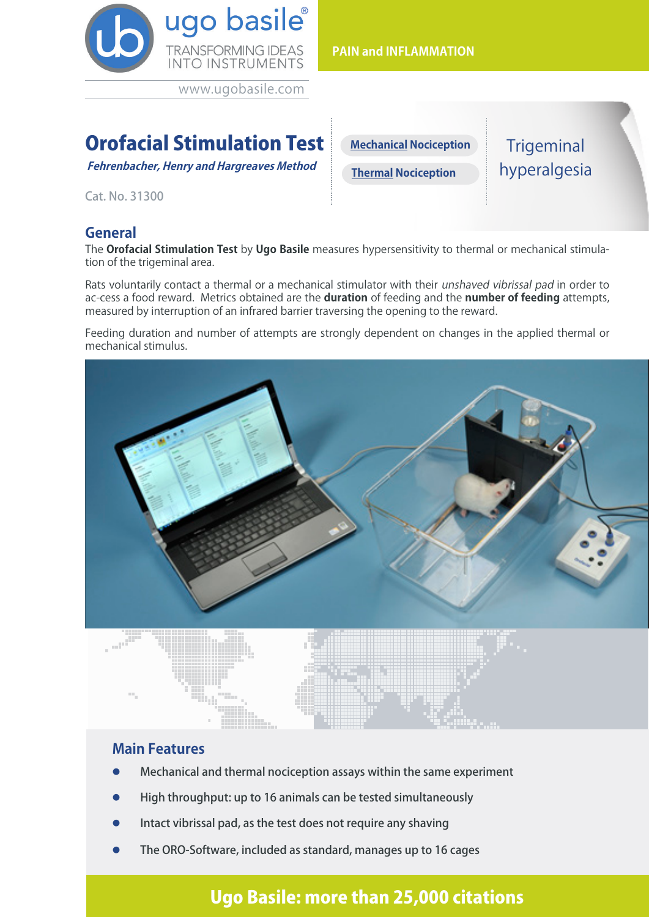

www.ugobasile.com

# Orofacial Stimulation Test

**Fehrenbacher, Henry and Hargreaves Method** 

Cat. No. 31300

### **General**

The **Orofacial Stimulation Test** by **Ugo Basile** measures hypersensitivity to thermal or mechanical stimulation of the trigeminal area.

Rats voluntarily contact a thermal or a mechanical stimulator with their unshaved vibrissal pad in order to ac-cess a food reward. Metrics obtained are the **duration** of feeding and the **number of feeding** attempts, measured by interruption of an infrared barrier traversing the opening to the reward.

Feeding duration and number of attempts are strongly dependent on changes in the applied thermal or mechanical stimulus.



#### **Main Features**

- l Mechanical and thermal nociception assays within the same experiment
- l High throughput: up to 16 animals can be tested simultaneously
- Intact vibrissal pad, as the test does not require any shaving
- The ORO-Software, included as standard, manages up to 16 cages

## Ugo Basile: more than 25,000 citations

**PAIN and INFLAMMATION**

**Thermal Nociception Mechanical Nociception Trigeminal** hyperalgesia